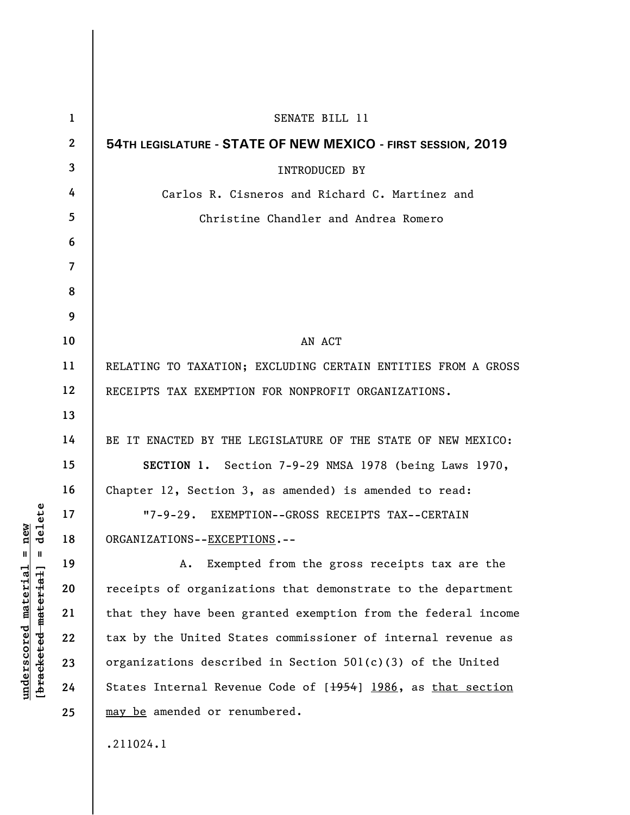| $\mathbf 1$ | SENATE BILL 11                                                |
|-------------|---------------------------------------------------------------|
| 2           | 54TH LEGISLATURE - STATE OF NEW MEXICO - FIRST SESSION, 2019  |
| 3           | <b>INTRODUCED BY</b>                                          |
| 4           | Carlos R. Cisneros and Richard C. Martinez and                |
| 5           | Christine Chandler and Andrea Romero                          |
| 6           |                                                               |
| 7           |                                                               |
| 8           |                                                               |
| 9           |                                                               |
| 10          | AN ACT                                                        |
| 11          | RELATING TO TAXATION; EXCLUDING CERTAIN ENTITIES FROM A GROSS |
| 12          | RECEIPTS TAX EXEMPTION FOR NONPROFIT ORGANIZATIONS.           |
| 13          |                                                               |
| 14          | BE IT ENACTED BY THE LEGISLATURE OF THE STATE OF NEW MEXICO:  |
| 15          | SECTION 1. Section 7-9-29 NMSA 1978 (being Laws 1970,         |
| 16          | Chapter 12, Section 3, as amended) is amended to read:        |
| 17          | "7-9-29. EXEMPTION--GROSS RECEIPTS TAX--CERTAIN               |
| 18          | ORGANIZATIONS--EXCEPTIONS.--                                  |
| 19          | Exempted from the gross receipts tax are the<br>Α.            |
| 20          | receipts of organizations that demonstrate to the department  |
| 21          | that they have been granted exemption from the federal income |
| 22          | tax by the United States commissioner of internal revenue as  |
| 23          | organizations described in Section 501(c)(3) of the United    |
| 24          | States Internal Revenue Code of [1954] 1986, as that section  |
| 25          | may be amended or renumbered.                                 |
|             | .211024.1                                                     |

**underscored material = new [bracketed material] = delete**

 $[bracketeed-materiat] = delete$  $underscored material = new$